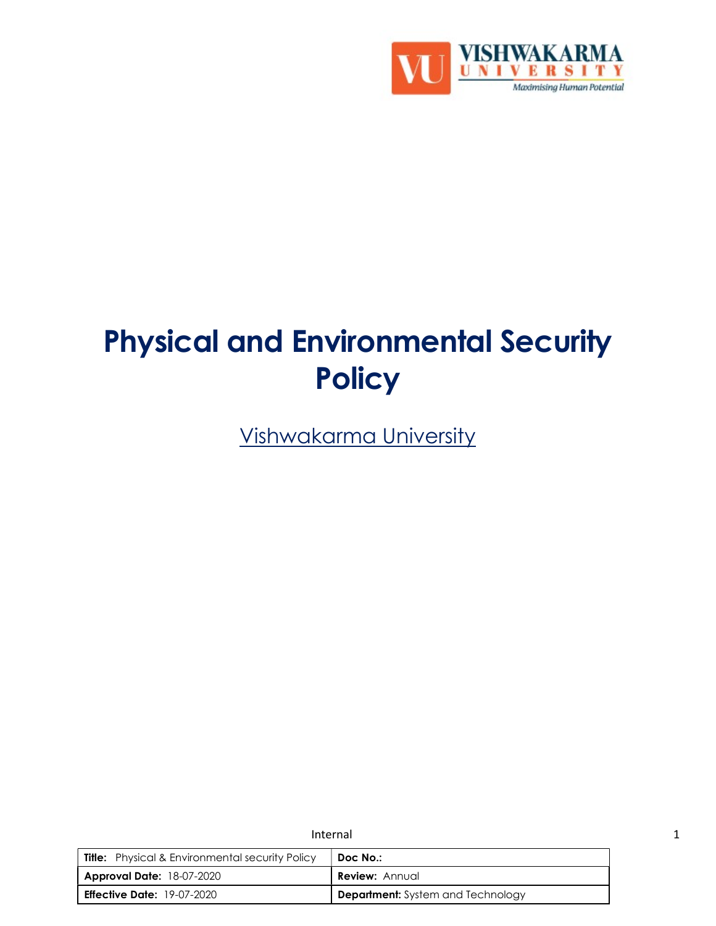

# Physical and Environmental Security **Policy**

Vishwakarma University

|                                                        | Internal                                 |  |
|--------------------------------------------------------|------------------------------------------|--|
| <b>Title:</b> Physical & Environmental security Policy | Doc No.:                                 |  |
| <b>Approval Date: 18-07-2020</b>                       | <b>Review: Annual</b>                    |  |
| <b>Effective Date:</b> 19-07-2020                      | <b>Department:</b> System and Technology |  |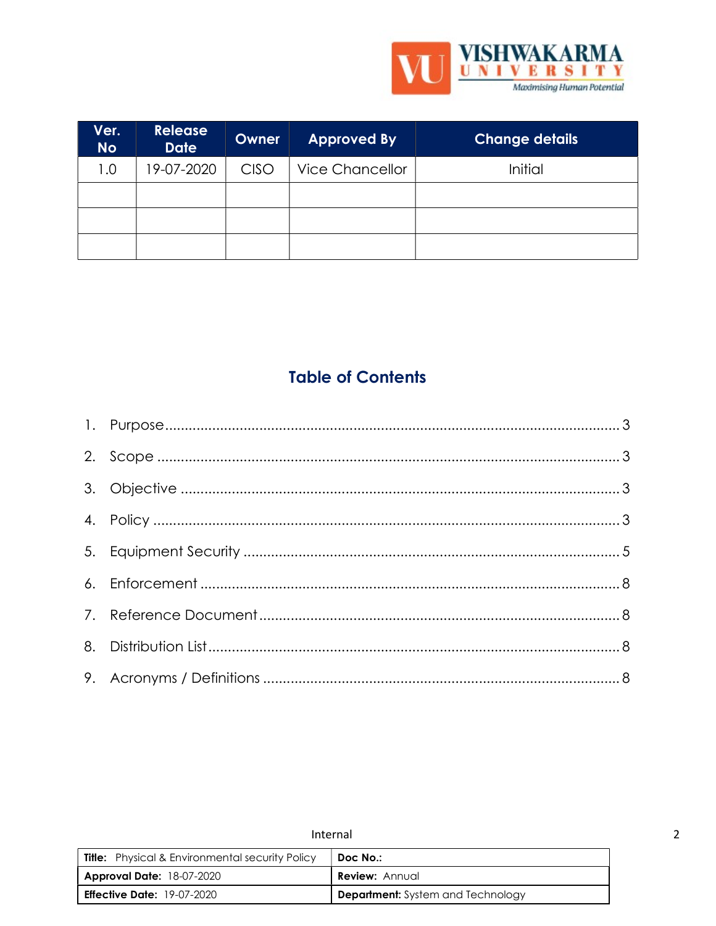

| Ver.<br><b>No</b> | <b>Release</b><br><b>Date</b> | Owner       | <b>Approved By</b>     | <b>Change details</b> |
|-------------------|-------------------------------|-------------|------------------------|-----------------------|
| 1.0               | 19-07-2020                    | <b>CISO</b> | <b>Vice Chancellor</b> | Initial               |
|                   |                               |             |                        |                       |
|                   |                               |             |                        |                       |
|                   |                               |             |                        |                       |

# **Table of Contents**

| Internal                                               |                                          |  |
|--------------------------------------------------------|------------------------------------------|--|
| <b>Title:</b> Physical & Environmental security Policy | Doc No.:                                 |  |
| <b>Approval Date: 18-07-2020</b>                       | <b>Review: Annual</b>                    |  |
| <b>Effective Date: 19-07-2020</b>                      | <b>Department:</b> System and Technology |  |

 $\overline{2}$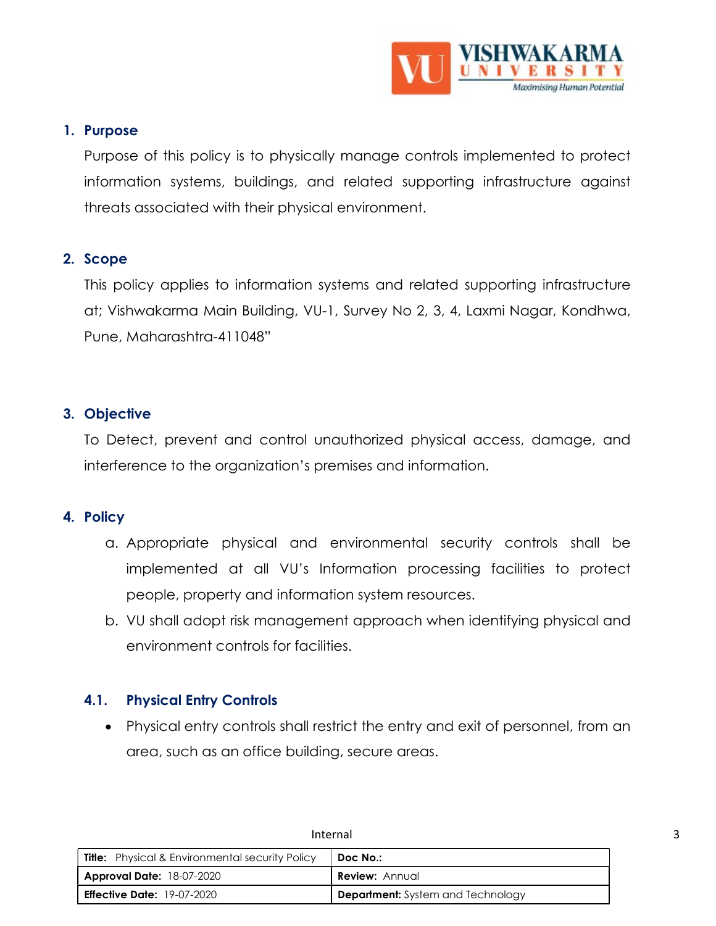

# 1. Purpose

Purpose of this policy is to physically manage controls implemented to protect information systems, buildings, and related supporting infrastructure against threats associated with their physical environment.

# 2. Scope

This policy applies to information systems and related supporting infrastructure at; Vishwakarma Main Building, VU-1, Survey No 2, 3, 4, Laxmi Nagar, Kondhwa, Pune, Maharashtra-411048"

# 3. Objective

To Detect, prevent and control unauthorized physical access, damage, and interference to the organization's premises and information.

## 4. Policy

- a. Appropriate physical and environmental security controls shall be implemented at all VU's Information processing facilities to protect people, property and information system resources.
- b. VU shall adopt risk management approach when identifying physical and environment controls for facilities.

# 4.1. Physical Entry Controls

 Physical entry controls shall restrict the entry and exit of personnel, from an area, such as an office building, secure areas.

|                                                        | Internal                                 |  |
|--------------------------------------------------------|------------------------------------------|--|
| <b>Title:</b> Physical & Environmental security Policy | Doc No.:                                 |  |
| <b>Approval Date: 18-07-2020</b>                       | <b>Review:</b> Annual                    |  |
| <b>Effective Date: 19-07-2020</b>                      | <b>Department:</b> System and Technology |  |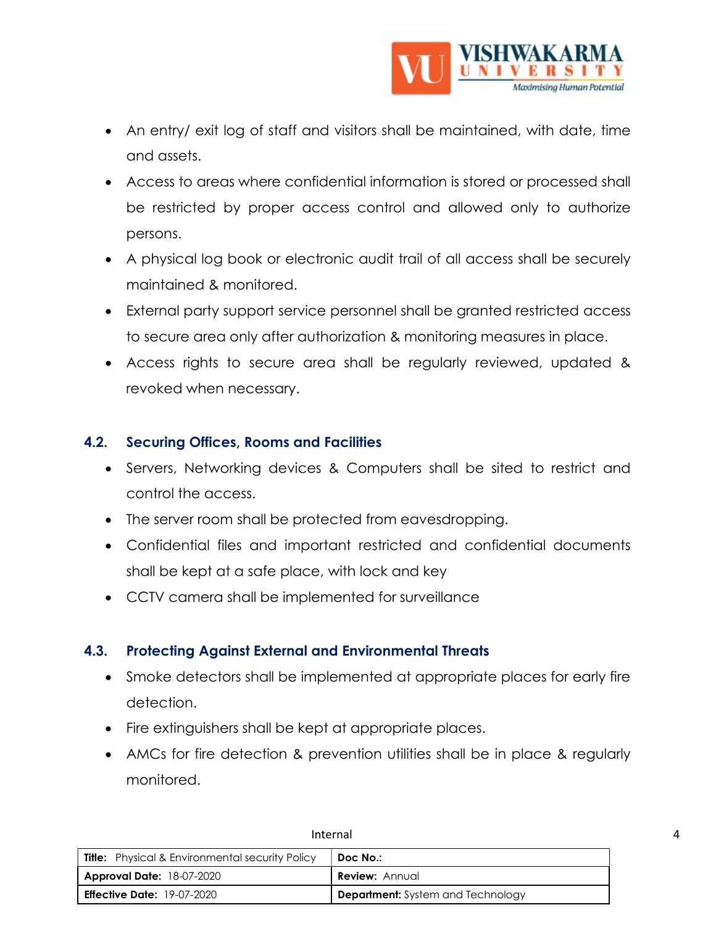

- An entry/ exit log of staff and visitors shall be maintained, with date, time and assets.
- Access to areas where confidential information is stored or processed shall be restricted by proper access control and allowed only to authorize persons.
- A physical log book or electronic audit trail of all access shall be securely maintained & monitored.
- External party support service personnel shall be granted restricted access to secure area only after authorization & monitoring measures in place.
- Access rights to secure area shall be regularly reviewed, updated & revoked when necessary.

# 4.2. Securing Offices, Rooms and Facilities

- Servers, Networking devices & Computers shall be sited to restrict and control the access.
- The server room shall be protected from eavesdropping.
- Confidential files and important restricted and confidential documents shall be kept at a safe place, with lock and key
- CCTV camera shall be implemented for surveillance

# 4.3. Protecting Against External and Environmental Threats

- Smoke detectors shall be implemented at appropriate places for early fire detection.
- Fire extinguishers shall be kept at appropriate places.
- AMCs for fire detection & prevention utilities shall be in place & regularly monitored.

| <b>Title:</b> Physical & Environmental security Policy | Doc No.:                                 |
|--------------------------------------------------------|------------------------------------------|
| <b>Approval Date: 18-07-2020</b>                       | <b>Review: Annual</b>                    |
| <b>Effective Date:</b> 19-07-2020                      | <b>Department:</b> System and Technology |

#### Internal 4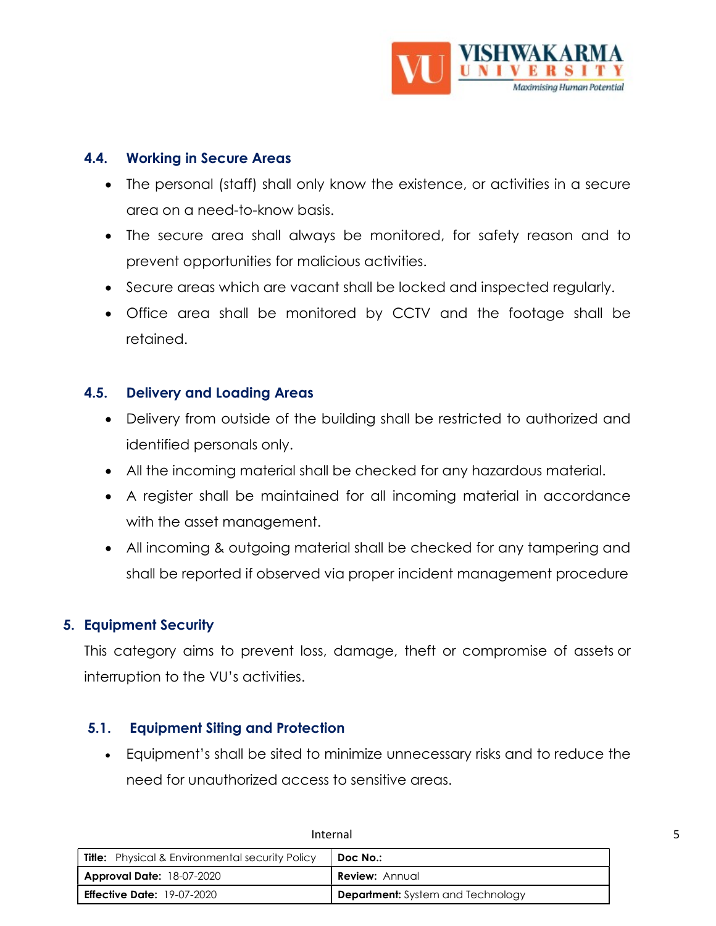

# 4.4. Working in Secure Areas

- The personal (staff) shall only know the existence, or activities in a secure area on a need-to-know basis.
- The secure area shall always be monitored, for safety reason and to prevent opportunities for malicious activities.
- Secure areas which are vacant shall be locked and inspected regularly.
- Office area shall be monitored by CCTV and the footage shall be retained.

# 4.5. Delivery and Loading Areas

- Delivery from outside of the building shall be restricted to authorized and identified personals only.
- All the incoming material shall be checked for any hazardous material.
- A register shall be maintained for all incoming material in accordance with the asset management.
- All incoming & outgoing material shall be checked for any tampering and shall be reported if observed via proper incident management procedure

# 5. Equipment Security

This category aims to prevent loss, damage, theft or compromise of assets or interruption to the VU's activities.

## 5.1. Equipment Siting and Protection

 Equipment's shall be sited to minimize unnecessary risks and to reduce the need for unauthorized access to sensitive areas.

|                                                        | Internal                                 |  |
|--------------------------------------------------------|------------------------------------------|--|
| <b>Title:</b> Physical & Environmental security Policy | Doc No.:                                 |  |
| <b>Approval Date: 18-07-2020</b>                       | <b>Review:</b> Annual                    |  |
| <b>Effective Date: 19-07-2020</b>                      | <b>Department:</b> System and Technology |  |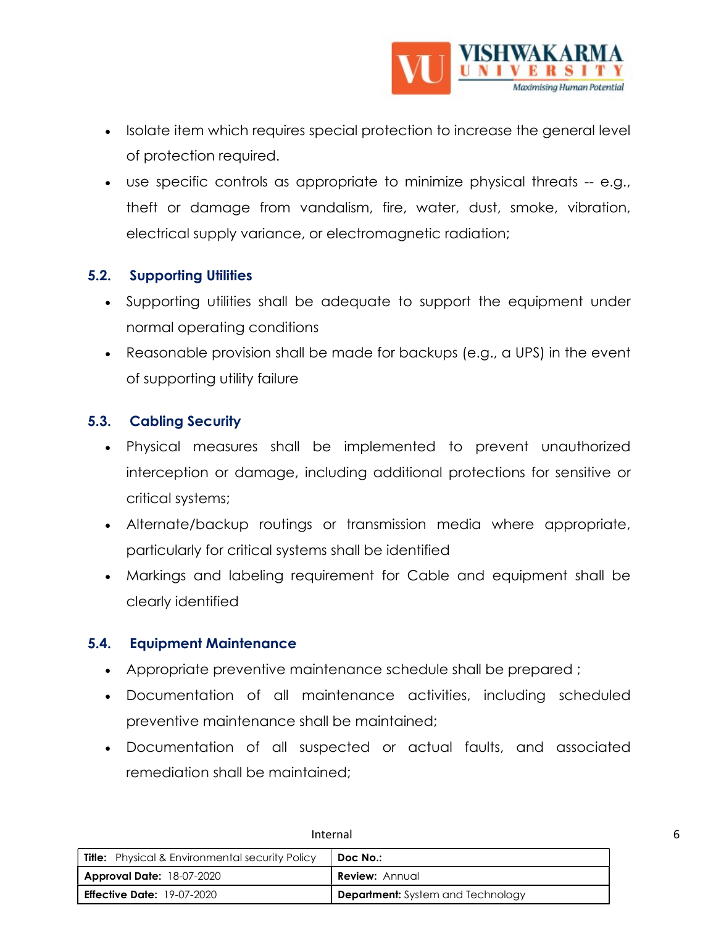

- Isolate item which requires special protection to increase the general level of protection required.
- use specific controls as appropriate to minimize physical threats -- e.g., theft or damage from vandalism, fire, water, dust, smoke, vibration, electrical supply variance, or electromagnetic radiation;

# 5.2. Supporting Utilities

- Supporting utilities shall be adequate to support the equipment under normal operating conditions
- Reasonable provision shall be made for backups (e.g., a UPS) in the event of supporting utility failure

# 5.3. Cabling Security

- Physical measures shall be implemented to prevent unauthorized interception or damage, including additional protections for sensitive or critical systems;
- Alternate/backup routings or transmission media where appropriate, particularly for critical systems shall be identified
- Markings and labeling requirement for Cable and equipment shall be clearly identified

# 5.4. Equipment Maintenance

- Appropriate preventive maintenance schedule shall be prepared ;
- Documentation of all maintenance activities, including scheduled preventive maintenance shall be maintained;
- Documentation of all suspected or actual faults, and associated remediation shall be maintained;

| <b>Title:</b> Physical & Environmental security Policy | Doc No.:                                 |
|--------------------------------------------------------|------------------------------------------|
| <b>Approval Date: 18-07-2020</b>                       | <b>Review: Annual</b>                    |
| <b>Effective Date: 19-07-2020</b>                      | <b>Department:</b> System and Technology |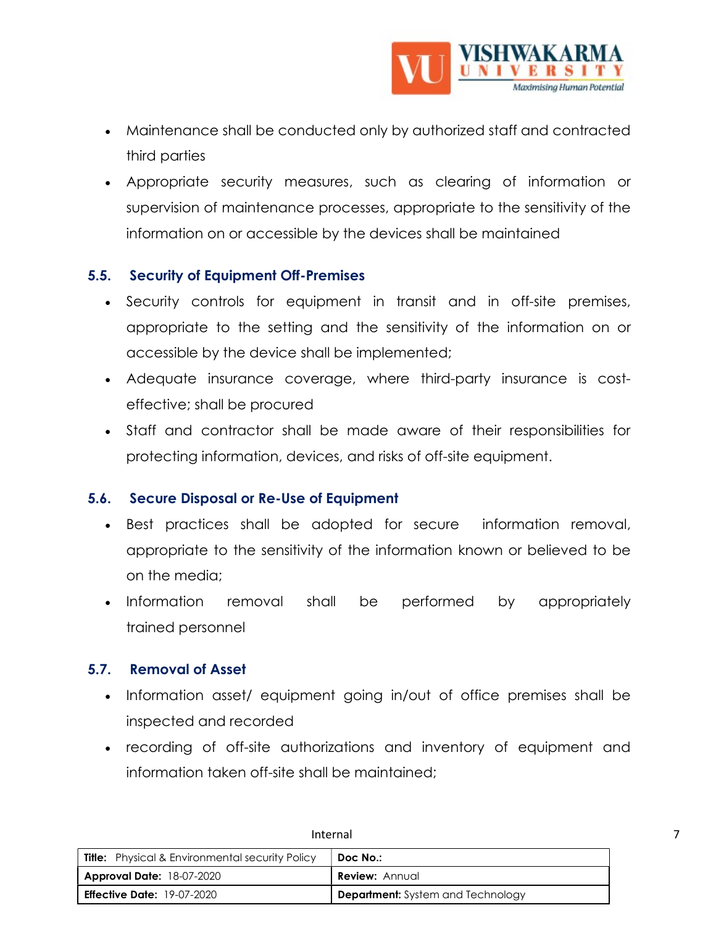

- Maintenance shall be conducted only by authorized staff and contracted third parties
- Appropriate security measures, such as clearing of information or supervision of maintenance processes, appropriate to the sensitivity of the information on or accessible by the devices shall be maintained

# 5.5. Security of Equipment Off-Premises

- Security controls for equipment in transit and in off-site premises, appropriate to the setting and the sensitivity of the information on or accessible by the device shall be implemented;
- Adequate insurance coverage, where third-party insurance is costeffective; shall be procured
- Staff and contractor shall be made aware of their responsibilities for protecting information, devices, and risks of off-site equipment.

# 5.6. Secure Disposal or Re-Use of Equipment

- Best practices shall be adopted for secure information removal, appropriate to the sensitivity of the information known or believed to be on the media;
- Information removal shall be performed by appropriately trained personnel

# 5.7. Removal of Asset

- Information asset/ equipment going in/out of office premises shall be inspected and recorded
- recording of off-site authorizations and inventory of equipment and information taken off-site shall be maintained;

| <b>Title:</b> Physical & Environmental security Policy | Doc No.:                                 |
|--------------------------------------------------------|------------------------------------------|
| <b>Approval Date: 18-07-2020</b>                       | <b>Review:</b> Annual                    |
| <b>Effective Date:</b> 19-07-2020                      | <b>Department:</b> System and Technology |